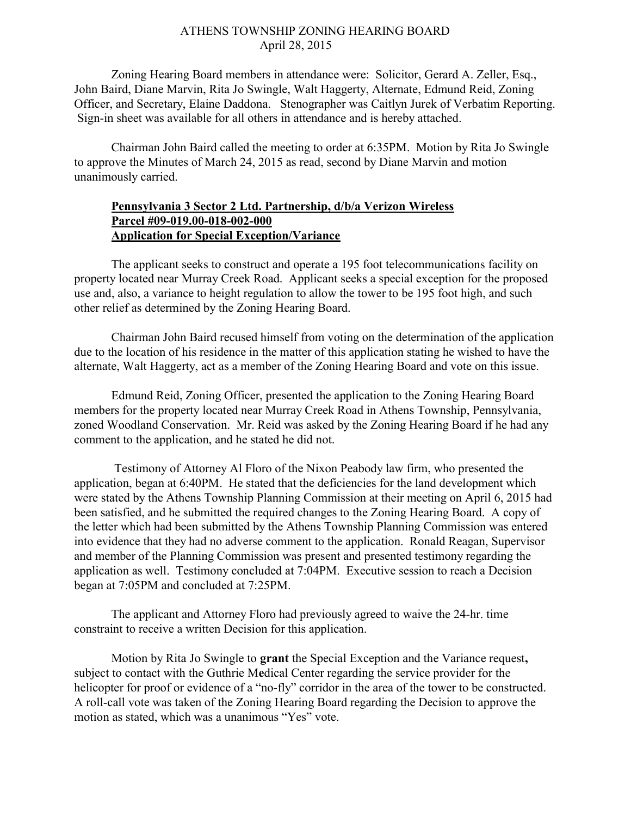## ATHENS TOWNSHIP ZONING HEARING BOARD April 28, 2015

Zoning Hearing Board members in attendance were: Solicitor, Gerard A. Zeller, Esq., John Baird, Diane Marvin, Rita Jo Swingle, Walt Haggerty, Alternate, Edmund Reid, Zoning Officer, and Secretary, Elaine Daddona. Stenographer was Caitlyn Jurek of Verbatim Reporting. Sign-in sheet was available for all others in attendance and is hereby attached.

Chairman John Baird called the meeting to order at 6:35PM. Motion by Rita Jo Swingle to approve the Minutes of March 24, 2015 as read, second by Diane Marvin and motion unanimously carried.

## Pennsylvania 3 Sector 2 Ltd. Partnership, d/b/a Verizon Wireless Parcel #09-019.00-018-002-000 Application for Special Exception/Variance

 The applicant seeks to construct and operate a 195 foot telecommunications facility on property located near Murray Creek Road. Applicant seeks a special exception for the proposed use and, also, a variance to height regulation to allow the tower to be 195 foot high, and such other relief as determined by the Zoning Hearing Board.

 Chairman John Baird recused himself from voting on the determination of the application due to the location of his residence in the matter of this application stating he wished to have the alternate, Walt Haggerty, act as a member of the Zoning Hearing Board and vote on this issue.

 Edmund Reid, Zoning Officer, presented the application to the Zoning Hearing Board members for the property located near Murray Creek Road in Athens Township, Pennsylvania, zoned Woodland Conservation. Mr. Reid was asked by the Zoning Hearing Board if he had any comment to the application, and he stated he did not.

 Testimony of Attorney Al Floro of the Nixon Peabody law firm, who presented the application, began at 6:40PM. He stated that the deficiencies for the land development which were stated by the Athens Township Planning Commission at their meeting on April 6, 2015 had been satisfied, and he submitted the required changes to the Zoning Hearing Board. A copy of the letter which had been submitted by the Athens Township Planning Commission was entered into evidence that they had no adverse comment to the application. Ronald Reagan, Supervisor and member of the Planning Commission was present and presented testimony regarding the application as well. Testimony concluded at 7:04PM. Executive session to reach a Decision began at 7:05PM and concluded at 7:25PM.

The applicant and Attorney Floro had previously agreed to waive the 24-hr. time constraint to receive a written Decision for this application.

Motion by Rita Jo Swingle to grant the Special Exception and the Variance request, subject to contact with the Guthrie Medical Center regarding the service provider for the helicopter for proof or evidence of a "no-fly" corridor in the area of the tower to be constructed. A roll-call vote was taken of the Zoning Hearing Board regarding the Decision to approve the motion as stated, which was a unanimous "Yes" vote.